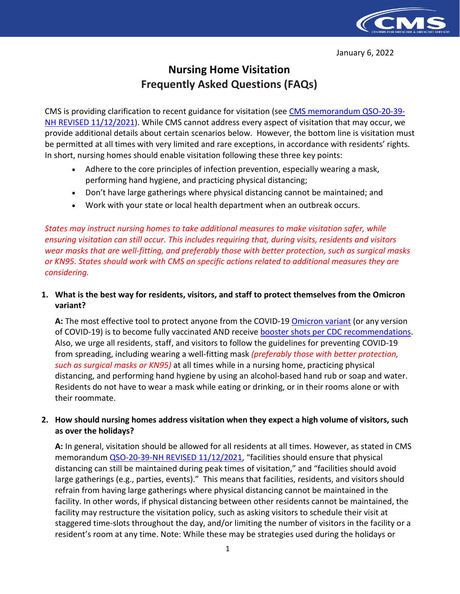

January 6, 2022

# **Nursing Home Visitation Frequently Asked Questions (FAQs)**

CMS is providing clarification to recent guidance for visitation (see [CMS memorandum QSO-20-39-](https://www.cms.gov/files/document/qso-20-39-nh-revised.pdf) [NH REVISED 11/12/2021\)](https://www.cms.gov/files/document/qso-20-39-nh-revised.pdf). While CMS cannot address every aspect of visitation that may occur, we provide additional details about certain scenarios below. However, the bottom line is visitation must be permitted at all times with very limited and rare exceptions, in accordance with residents' rights. In short, nursing homes should enable visitation following these three key points:

- Adhere to the core principles of infection prevention, especially wearing a mask, performing hand hygiene, and practicing physical distancing;
- Don't have large gatherings where physical distancing cannot be maintained; and
- Work with your state or local health department when an outbreak occurs.

*States may instruct nursing homes to take additional measures to make visitation safer, while ensuring visitation can still occur. This includes requiring that, during visits, residents and visitors wear masks that are well-fitting, and preferably those with better protection, such as surgical masks or KN95. States should work with CMS on specific actions related to additional measures they are considering.*

## **1. What is the best way for residents, visitors, and staff to protect themselves from the Omicron variant?**

A: The most effective tool to protect anyone from the COVID-19 **Omicron variant** (or any version of COVID-19) is to become fully vaccinated AND receive [booster shots per CDC recommendations.](https://www.cdc.gov/coronavirus/2019-ncov/vaccines/booster-shot.html) Also, we urge all residents, staff, and visitors to follow the guidelines for preventing COVID-19 from spreading, including wearing a well-fitting mask *(preferably those with better protection, such as surgical masks or KN95)* at all times while in a nursing home, practicing physical distancing, and performing hand hygiene by using an alcohol-based hand rub or soap and water. Residents do not have to wear a mask while eating or drinking, or in their rooms alone or with their roommate.

#### **2. How should nursing homes address visitation when they expect a high volume of visitors, such as over the holidays?**

**A:** In general, visitation should be allowed for all residents at all times. However, as stated in CMS memorandum [QSO-20-39-NH REVISED 11/12/2021,](https://www.cms.gov/files/document/qso-20-39-nh-revised.pdf) "facilities should ensure that physical distancing can still be maintained during peak times of visitation," and "facilities should avoid large gatherings (e.g., parties, events)." This means that facilities, residents, and visitors should refrain from having large gatherings where physical distancing cannot be maintained in the facility. In other words, if physical distancing between other residents cannot be maintained, the facility may restructure the visitation policy, such as asking visitors to schedule their visit at staggered time-slots throughout the day, and/or limiting the number of visitors in the facility or a resident's room at any time. Note: While these may be strategies used during the holidays or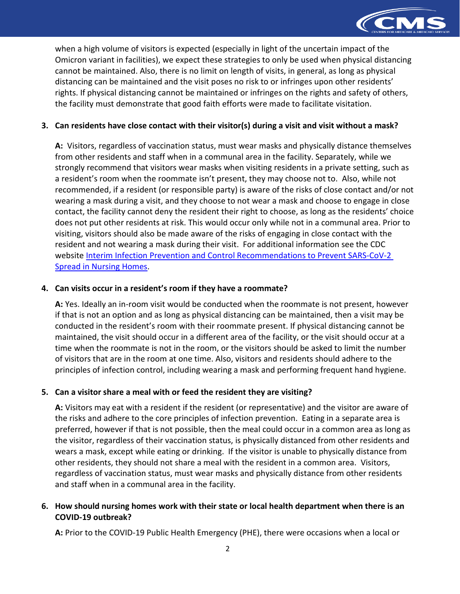

when a high volume of visitors is expected (especially in light of the uncertain impact of the Omicron variant in facilities), we expect these strategies to only be used when physical distancing cannot be maintained. Also, there is no limit on length of visits, in general, as long as physical distancing can be maintained and the visit poses no risk to or infringes upon other residents' rights. If physical distancing cannot be maintained or infringes on the rights and safety of others, the facility must demonstrate that good faith efforts were made to facilitate visitation.

#### **3. Can residents have close contact with their visitor(s) during a visit and visit without a mask?**

**A:** Visitors, regardless of vaccination status, must wear masks and physically distance themselves from other residents and staff when in a communal area in the facility. Separately, while we strongly recommend that visitors wear masks when visiting residents in a private setting, such as a resident's room when the roommate isn't present, they may choose not to. Also, while not recommended, if a resident (or responsible party) is aware of the risks of close contact and/or not wearing a mask during a visit, and they choose to not wear a mask and choose to engage in close contact, the facility cannot deny the resident their right to choose, as long as the residents' choice does not put other residents at risk. This would occur only while not in a communal area. Prior to visiting, visitors should also be made aware of the risks of engaging in close contact with the resident and not wearing a mask during their visit. For additional information see the CDC website Interim Infection Prevention and Control Recommendations to Prevent SARS-CoV-2 [Spread in Nursing Homes.](https://www.cdc.gov/coronavirus/2019-ncov/hcp/long-term-care.html)

#### **4. Can visits occur in a resident's room if they have a roommate?**

**A:** Yes. Ideally an in-room visit would be conducted when the roommate is not present, however if that is not an option and as long as physical distancing can be maintained, then a visit may be conducted in the resident's room with their roommate present. If physical distancing cannot be maintained, the visit should occur in a different area of the facility, or the visit should occur at a time when the roommate is not in the room, or the visitors should be asked to limit the number of visitors that are in the room at one time. Also, visitors and residents should adhere to the principles of infection control, including wearing a mask and performing frequent hand hygiene.

#### **5. Can a visitor share a meal with or feed the resident they are visiting?**

**A:** Visitors may eat with a resident if the resident (or representative) and the visitor are aware of the risks and adhere to the core principles of infection prevention. Eating in a separate area is preferred, however if that is not possible, then the meal could occur in a common area as long as the visitor, regardless of their vaccination status, is physically distanced from other residents and wears a mask, except while eating or drinking. If the visitor is unable to physically distance from other residents, they should not share a meal with the resident in a common area. Visitors, regardless of vaccination status, must wear masks and physically distance from other residents and staff when in a communal area in the facility.

## **6. How should nursing homes work with their state or local health department when there is an COVID-19 outbreak?**

**A:** Prior to the COVID-19 Public Health Emergency (PHE), there were occasions when a local or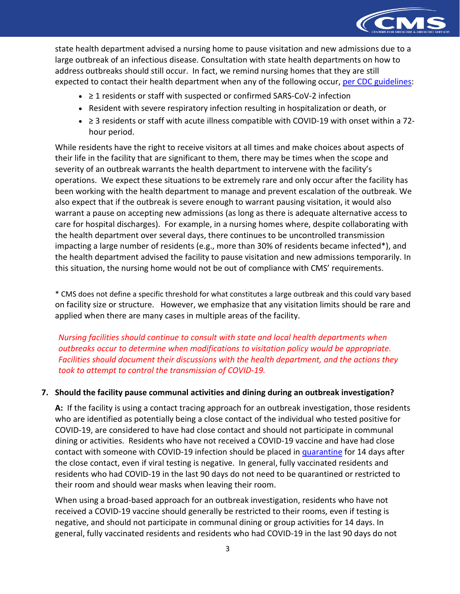

state health department advised a nursing home to pause visitation and new admissions due to a large outbreak of an infectious disease. Consultation with state health departments on how to address outbreaks should still occur. In fact, we remind nursing homes that they are still expected to contact their health department when any of the following occur, [per CDC guidelines:](https://www.cdc.gov/coronavirus/2019-ncov/hcp/long-term-care.html)

- ≥ 1 residents or staff with suspected or confirmed SARS-CoV-2 infection
- Resident with severe respiratory infection resulting in hospitalization or death, or
- ≥ 3 residents or staff with acute illness compatible with COVID-19 with onset within a 72 hour period.

While residents have the right to receive visitors at all times and make choices about aspects of their life in the facility that are significant to them, there may be times when the scope and severity of an outbreak warrants the health department to intervene with the facility's operations. We expect these situations to be extremely rare and only occur after the facility has been working with the health department to manage and prevent escalation of the outbreak. We also expect that if the outbreak is severe enough to warrant pausing visitation, it would also warrant a pause on accepting new admissions (as long as there is adequate alternative access to care for hospital discharges). For example, in a nursing homes where, despite collaborating with the health department over several days, there continues to be uncontrolled transmission impacting a large number of residents (e.g., more than 30% of residents became infected\*), and the health department advised the facility to pause visitation and new admissions temporarily. In this situation, the nursing home would not be out of compliance with CMS' requirements.

\* CMS does not define a specific threshold for what constitutes a large outbreak and this could vary based on facility size or structure. However, we emphasize that any visitation limits should be rare and applied when there are many cases in multiple areas of the facility.

*Nursing facilities should continue to consult with state and local health departments when outbreaks occur to determine when modifications to visitation policy would be appropriate. Facilities should document their discussions with the health department, and the actions they took to attempt to control the transmission of COVID-19.*

## **7. Should the facility pause communal activities and dining during an outbreak investigation?**

**A:** If the facility is using a contact tracing approach for an outbreak investigation, those residents who are identified as potentially being a close contact of the individual who tested positive for COVID-19, are considered to have had close contact and should not participate in communal dining or activities. Residents who have not received a COVID-19 vaccine and have had close contact with someone with COVID-19 infection should be placed in [quarantine](https://www.cdc.gov/coronavirus/2019-ncov/hcp/long-term-care.html#anchor_1631031193599) for 14 days after the close contact, even if viral testing is negative. In general, fully vaccinated residents and residents who had COVID-19 in the last 90 days do not need to be quarantined or restricted to their room and should wear masks when leaving their room.

When using a broad-based approach for an outbreak investigation, residents who have not received a COVID-19 vaccine should generally be restricted to their rooms, even if testing is negative, and should not participate in communal dining or group activities for 14 days. In general, fully vaccinated residents and residents who had COVID-19 in the last 90 days do not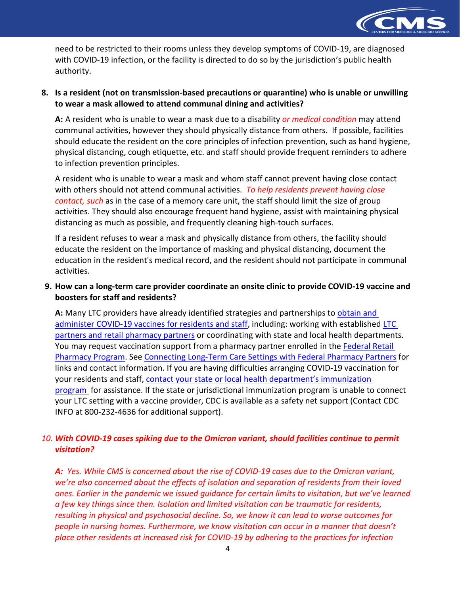

need to be restricted to their rooms unless they develop symptoms of COVID-19, are diagnosed with COVID-19 infection, or the facility is directed to do so by the jurisdiction's public health authority.

## **8. Is a resident (not on transmission-based precautions or quarantine) who is unable or unwilling to wear a mask allowed to attend communal dining and activities?**

**A:** A resident who is unable to wear a mask due to a disability *or medical condition* may attend communal activities, however they should physically distance from others. If possible, facilities should educate the resident on the core principles of infection prevention, such as hand hygiene, physical distancing, cough etiquette, etc. and staff should provide frequent reminders to adhere to infection prevention principles.

A resident who is unable to wear a mask and whom staff cannot prevent having close contact with others should not attend communal activities. *To help residents prevent having close contact, such* as in the case of a memory care unit, the staff should limit the size of group activities. They should also encourage frequent hand hygiene, assist with maintaining physical distancing as much as possible, and frequently cleaning high-touch surfaces.

If a resident refuses to wear a mask and physically distance from others, the facility should educate the resident on the importance of masking and physical distancing, document the education in the resident's medical record, and the resident should not participate in communal activities.

## **9. How can a long-term care provider coordinate an onsite clinic to provide COVID-19 vaccine and boosters for staff and residents?**

A: Many LTC providers have already identified strategies and partnerships to obtain and [administer COVID-19 vaccines for residents and staff,](https://www.cdc.gov/vaccines/covid-19/long-term-care/pharmacy-partnerships/administrators-managers.html) including: working with established LTC [partners and retail pharmacy partners](https://www.cdc.gov/vaccines/covid-19/retail-pharmacy-program/pharmacies-contact.html) or coordinating with state and local health departments. You may request vaccination support from a pharmacy partner enrolled in the Federal Retail [Pharmacy Program.](https://www.cdc.gov/vaccines/covid-19/retail-pharmacy-program/index.html) See [Connecting Long-Term Care Settings with Federal Pharmacy Partners](https://www.cdc.gov/vaccines/covid-19/retail-pharmacy-program/pharmacies-contact.html) for links and contact information. If you are having difficulties arranging COVID-19 vaccination for your residents and staff, [contact your state or local health department's immunization](https://www.immunizationmanagers.org/content/uploads/2021/10/Jurisdiction-IZP-LTCF-Contact-Information-v.3-October-20-2021.pdf)  [program](https://www.immunizationmanagers.org/content/uploads/2021/10/Jurisdiction-IZP-LTCF-Contact-Information-v.3-October-20-2021.pdf) for assistance. If the state or jurisdictional immunization program is unable to connect your LTC setting with a vaccine provider, CDC is available as a safety net support (Contact CDC INFO at 800-232-4636 for additional support).

# *10. With COVID-19 cases spiking due to the Omicron variant, should facilities continue to permit visitation?*

*A: Yes. While CMS is concerned about the rise of COVID-19 cases due to the Omicron variant, we're also concerned about the effects of isolation and separation of residents from their loved ones. Earlier in the pandemic we issued guidance for certain limits to visitation, but we've learned a few key things since then. Isolation and limited visitation can be traumatic for residents, resulting in physical and psychosocial decline. So, we know it can lead to worse outcomes for people in nursing homes. Furthermore, we know visitation can occur in a manner that doesn't place other residents at increased risk for COVID-19 by adhering to the practices for infection*